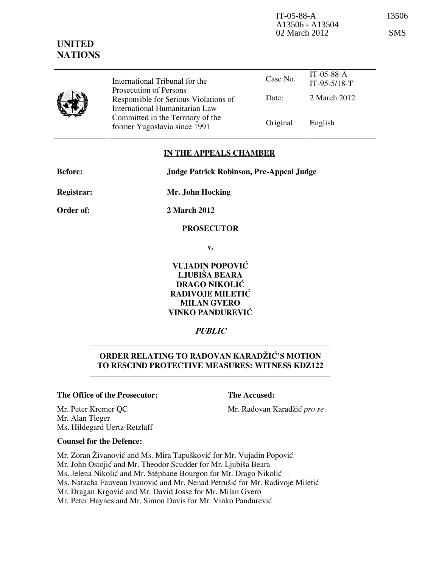IT-05-88-A 13506 A13506 - A13504 02 March 2012 SMS



Prosecution of Persons Responsible for Serious Violations of International Humanitarian Law Committed in the Territory of the former Yugoslavia since 1991 Original: English

### IN THE APPEALS CHAMBER

| <b>Before:</b>    | <b>Judge Patrick Robinson, Pre-Appeal Judge</b> |
|-------------------|-------------------------------------------------|
| <b>Registrar:</b> | Mr. John Hocking                                |
| Order of:         | 2 March 2012                                    |
|                   | <b>PROSECUTOR</b>                               |

v.

VUJADIN POPOVIĆ LJUBIŠA BEARA DRAGO NIKOLIĆ RADIVOJE MILETIĆ MILAN GVERO VINKO PANDUREVIĆ

# **PUBLIC**

# ORDER RELATING TO RADOVAN KARADŽIĆ'S MOTION TO RESCIND PROTECTIVE MEASURES: WITNESS KDZ122

### The Office of the Prosecutor: The Accused:

Mr. Peter Kremer QC Mr. Radovan Karadžić pro se Mr. Alan Tieger Ms. Hildegard Uertz-Retzlaff

### Counsel for the Defence:

Mr. Zoran Živanović and Ms. Mira Tapušković for Mr. Vujadin Popović Mr. John Ostojić and Mr. Theodor Scudder for Mr. Ljubiša Beara Ms. Jelena Nikolić and Mr. Stéphane Bourgon for Mr. Drago Nikolić Ms. Natacha Fauveau Ivanović and Mr. Nenad Petrušić for Mr. Radivoje Miletić Mr. Dragan Krgović and Mr. David Josse for Mr. Milan Gvero

Mr. Peter Haynes and Mr. Simon Davis for Mr. Vinko Pandurević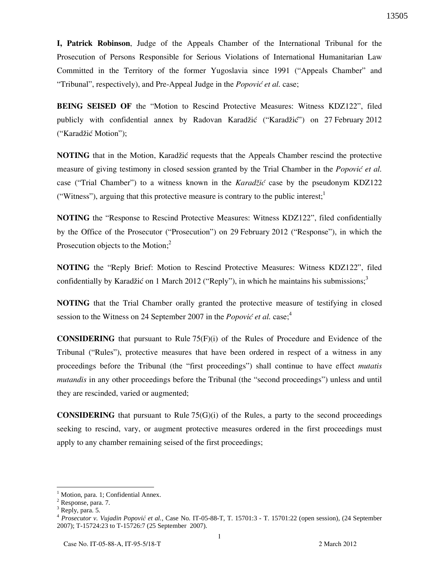I, Patrick Robinson, Judge of the Appeals Chamber of the International Tribunal for the Prosecution of Persons Responsible for Serious Violations of International Humanitarian Law Committed in the Territory of the former Yugoslavia since 1991 ("Appeals Chamber" and "Tribunal", respectively), and Pre-Appeal Judge in the *Popović et al.* case;

BEING SEISED OF the "Motion to Rescind Protective Measures: Witness KDZ122", filed publicly with confidential annex by Radovan Karadžić ("Karadžić") on 27 February 2012 ("Karadžić Motion");

**NOTING** that in the Motion, Karadžić requests that the Appeals Chamber rescind the protective measure of giving testimony in closed session granted by the Trial Chamber in the *Popović et al.* case ("Trial Chamber") to a witness known in the *Karad* $\zeta$ *ić* case by the pseudonym KDZ122 ("Witness"), arguing that this protective measure is contrary to the public interest; $<sup>1</sup>$ </sup>

NOTING the "Response to Rescind Protective Measures: Witness KDZ122", filed confidentially by the Office of the Prosecutor ("Prosecution") on 29 February 2012 ("Response"), in which the Prosecution objects to the Motion;<sup>2</sup>

NOTING the "Reply Brief: Motion to Rescind Protective Measures: Witness KDZ122", filed confidentially by Karadžić on 1 March 2012 ("Reply"), in which he maintains his submissions;<sup>3</sup>

NOTING that the Trial Chamber orally granted the protective measure of testifying in closed session to the Witness on 24 September 2007 in the *Popović et al.* case;<sup>4</sup>

**CONSIDERING** that pursuant to Rule  $75(F)(i)$  of the Rules of Procedure and Evidence of the Tribunal ("Rules"), protective measures that have been ordered in respect of a witness in any proceedings before the Tribunal (the "first proceedings") shall continue to have effect mutatis mutandis in any other proceedings before the Tribunal (the "second proceedings") unless and until they are rescinded, varied or augmented;

**CONSIDERING** that pursuant to Rule  $75(G)(i)$  of the Rules, a party to the second proceedings seeking to rescind, vary, or augment protective measures ordered in the first proceedings must apply to any chamber remaining seised of the first proceedings;

-

<sup>1</sup> Motion, para. 1; Confidential Annex.

<sup>&</sup>lt;sup>2</sup> Response, para. 7.

<sup>&</sup>lt;sup>3</sup> Reply, para. 5.

<sup>4</sup> *Prosecutor v. Vujadin Popovi*ć *et al.*, Case No. IT-05-88-T, T. 15701:3 - T. 15701:22 (open session), (24 September 2007); T-15724:23 to T-15726:7 (25 September 2007).